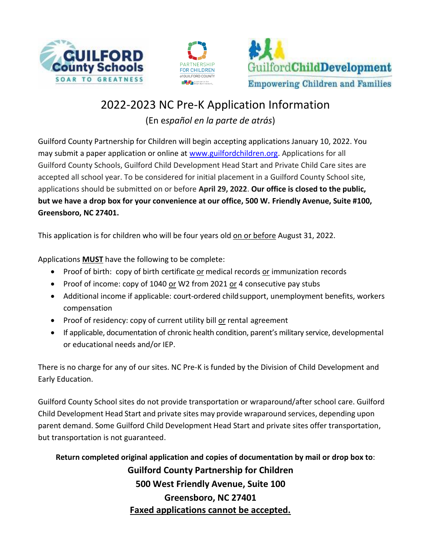





# 2022-2023 NC Pre-K Application Information (En e*spañol en la parte de atrás*)

Guilford County Partnership for Children will begin accepting applications January 10, 2022. You may submit a paper application or online at [www.guilfordchildren.org.](http://www.guilfordchildren.org/) Applications for all Guilford County Schools, Guilford Child Development Head Start and Private Child Care sites are accepted all school year. To be considered for initial placement in a Guilford County School site, applications should be submitted on or before **April 29, 2022**. **Our office is closed to the public, but we have a drop box for your convenience at our office, 500 W. Friendly Avenue, Suite #100, Greensboro, NC 27401.**

This application is for children who will be four years old on or before August 31, 2022.

Applications **MUST** have the following to be complete:

- Proof of birth: copy of birth certificate or medical records or immunization records
- Proof of income: copy of 1040 or W2 from 2021 or 4 consecutive pay stubs
- Additional income if applicable: court-ordered child support, unemployment benefits, workers compensation
- Proof of residency: copy of current utility bill or rental agreement
- If applicable, documentation of chronic health condition, parent's military service, developmental or educational needs and/or IEP.

There is no charge for any of our sites. NC Pre-K is funded by the Division of Child Development and Early Education.

Guilford County School sites do not provide transportation or wraparound/after school care. Guilford Child Development Head Start and private sites may provide wraparound services, depending upon parent demand. Some Guilford Child Development Head Start and private sites offer transportation, but transportation is not guaranteed.

**Return completed original application and copies of documentation by mail or drop box to**: **Guilford County Partnership for Children 500 West Friendly Avenue, Suite 100 Greensboro, NC 27401 Faxed applications cannot be accepted.**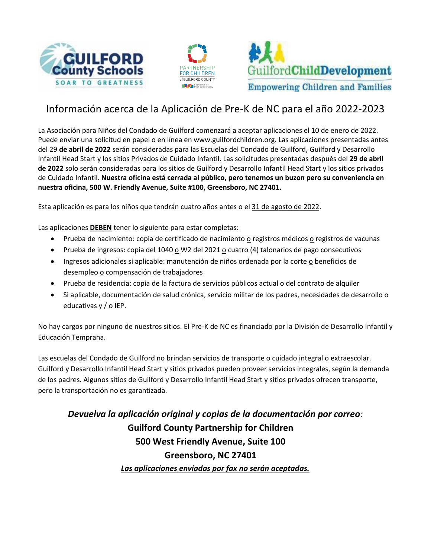





# Información acerca de la Aplicación de Pre-K de NC para el año 2022-2023

La Asociación para Niños del Condado de Guilford comenzará a aceptar aplicaciones el 10 de enero de 2022. Puede enviar una solicitud en papel o en línea en www.guilfordchildren.org. Las aplicaciones presentadas antes del 29 **de abril de 2022** serán consideradas para las Escuelas del Condado de Guilford, Guilford y Desarrollo Infantil Head Start y los sitios Privados de Cuidado Infantil. Las solicitudes presentadas después del **29 de abril de 2022** solo serán consideradas para los sitios de Guilford y Desarrollo Infantil Head Start y los sitios privados de Cuidado Infantil. **Nuestra oficina está cerrada al público, pero tenemos un buzon pero su conveniencia en nuestra oficina, 500 W. Friendly Avenue, Suite #100, Greensboro, NC 27401.**

Esta aplicación es para los niños que tendrán cuatro años antes o el 31 de agosto de 2022.

Las aplicaciones **DEBEN** tener lo siguiente para estar completas:

- Prueba de nacimiento: copia de certificado de nacimiento o registros médicos o registros de vacunas
- Prueba de ingresos: copia del 1040 o W2 del 2021 o cuatro (4) talonarios de pago consecutivos
- Ingresos adicionales si aplicable: manutención de niños ordenada por la corte o beneficios de desempleo o compensación de trabajadores
- Prueba de residencia: copia de la factura de servicios públicos actual o del contrato de alquiler
- Si aplicable, documentación de salud crónica, servicio militar de los padres, necesidades de desarrollo o educativas y / o IEP.

No hay cargos por ninguno de nuestros sitios. El Pre-K de NC es financiado por la División de Desarrollo Infantil y Educación Temprana.

Las escuelas del Condado de Guilford no brindan servicios de transporte o cuidado integral o extraescolar. Guilford y Desarrollo Infantil Head Start y sitios privados pueden proveer servicios integrales, según la demanda de los padres. Algunos sitios de Guilford y Desarrollo Infantil Head Start y sitios privados ofrecen transporte, pero la transportación no es garantizada.

*Devuelva la aplicación original y copias de la documentación por correo:* **Guilford County Partnership for Children 500 West Friendly Avenue, Suite 100 Greensboro, NC 27401** *Las aplicaciones enviadas por fax no serán aceptadas.*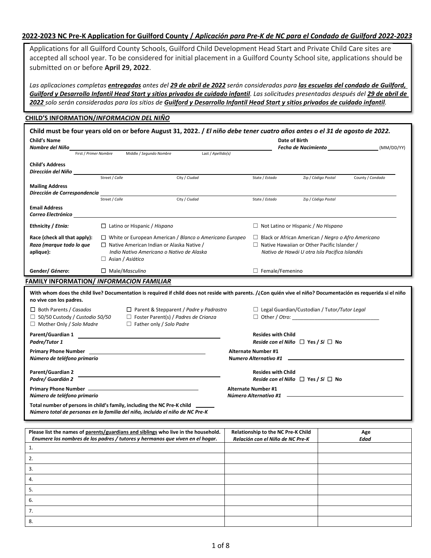### **2022-2023 NC Pre-K Application for Guilford County /** *Aplicación para Pre-K de NC para el Condado de Guilford 2022-2023*

Applications for all Guilford County Schools, Guilford Child Development Head Start and Private Child Care sites are accepted all school year. To be considered for initial placement in a Guilford County School site, applications should be submitted on or before **April 29, 2022**.

*Las aplicaciones completas entregadas antes del 29 de abril de 2022 serán consideradas para las escuelas del condado de Guilford, Guilford y Desarrollo Infantil Head Start y sitios privados de cuidado infantil. Las solicitudes presentadas después del 29 de abril de 2022 solo serán consideradas para los sitios de Guilford y Desarrollo Infantil Head Start y sitios privados de cuidado infantil.*

### **CHILD'S INFORMATION/***INFORMACION DEL NIÑO*

| Child must be four years old on or before August 31, 2022. / El niño debe tener cuatro años antes o el 31 de agosto de 2022.<br><b>Child's Name</b><br>Nombre del Niño                     |                                                                                                                                                                                            |                                                                                                                                  |                                                       |                                                                                                                                                                  |                            | Date of Birth<br>Fecha de Nacimiento <b>Alecta de Secondo Caraccer</b>      | (MM/DD/YY)       |
|--------------------------------------------------------------------------------------------------------------------------------------------------------------------------------------------|--------------------------------------------------------------------------------------------------------------------------------------------------------------------------------------------|----------------------------------------------------------------------------------------------------------------------------------|-------------------------------------------------------|------------------------------------------------------------------------------------------------------------------------------------------------------------------|----------------------------|-----------------------------------------------------------------------------|------------------|
|                                                                                                                                                                                            | First / Primer Nombre                                                                                                                                                                      | Middle / Segundo Nombre                                                                                                          | Last / Apellido(s)                                    |                                                                                                                                                                  |                            |                                                                             |                  |
| <b>Child's Address</b><br>Dirección del Niño                                                                                                                                               |                                                                                                                                                                                            |                                                                                                                                  |                                                       |                                                                                                                                                                  |                            |                                                                             |                  |
|                                                                                                                                                                                            | Street / Calle                                                                                                                                                                             |                                                                                                                                  | City / Ciudad                                         |                                                                                                                                                                  | State / Estado             | Zip / Código Postal                                                         | County / Condado |
| <b>Mailing Address</b>                                                                                                                                                                     |                                                                                                                                                                                            |                                                                                                                                  |                                                       |                                                                                                                                                                  |                            |                                                                             |                  |
| Dirección de Correspondencia                                                                                                                                                               | Street / Calle                                                                                                                                                                             |                                                                                                                                  | City / Ciudad                                         |                                                                                                                                                                  | State / Estado             | Zip / Código Postal                                                         |                  |
| <b>Email Address</b><br>Correo Electrónico                                                                                                                                                 |                                                                                                                                                                                            |                                                                                                                                  |                                                       |                                                                                                                                                                  |                            |                                                                             |                  |
| Ethnicity / Etnia:                                                                                                                                                                         |                                                                                                                                                                                            | $\Box$ Latino or Hispanic / Hispano                                                                                              |                                                       |                                                                                                                                                                  |                            | $\Box$ Not Latino or Hispanic / No Hispano                                  |                  |
| Race (check all that apply):<br>Raza (marque todo lo que<br>aplique):                                                                                                                      | $\Box$ White or European American / Blanco o Americano Europeo<br>$\Box$ Native American Indian or Alaska Native /<br>Indio Nativo Americano o Nativo de Alaska<br>$\Box$ Asian / Asiático |                                                                                                                                  |                                                       | $\Box$ Black or African American / Negro o Afro Americano<br>$\Box$ Native Hawaiian or Other Pacific Islander /<br>Nativo de Hawái U otra Isla Pacifica Islandés |                            |                                                                             |                  |
| Gender/ Género:                                                                                                                                                                            | $\Box$ Male/Masculino                                                                                                                                                                      |                                                                                                                                  |                                                       |                                                                                                                                                                  | $\Box$ Female/Femenino     |                                                                             |                  |
| <b>FAMILY INFORMATION/ INFORMACION FAMILIAR</b>                                                                                                                                            |                                                                                                                                                                                            |                                                                                                                                  |                                                       |                                                                                                                                                                  |                            |                                                                             |                  |
| With whom does the child live? Documentation is required if child does not reside with parents. /¿Con quién vive el niño? Documentación es requerida si el niño<br>no vive con los padres. |                                                                                                                                                                                            |                                                                                                                                  |                                                       |                                                                                                                                                                  |                            |                                                                             |                  |
| $\Box$ Both Parents / Casados<br>□ 50/50 Custody / Custodio 50/50<br>$\Box$ Mother Only / Solo Madre                                                                                       |                                                                                                                                                                                            | $\Box$ Parent & Stepparent / Padre y Padrastro<br>$\Box$ Foster Parent(s) / Padres de Crianza<br>$\Box$ Father only / Solo Padre |                                                       |                                                                                                                                                                  |                            | $\Box$ Legal Guardian/Custodian / Tutor/Tutor Legal<br>$\Box$ Other / Otro: |                  |
| Parent/Guardian 1<br>Padre/Tutor 1                                                                                                                                                         |                                                                                                                                                                                            |                                                                                                                                  |                                                       |                                                                                                                                                                  | <b>Resides with Child</b>  | Reside con el Niño $\Box$ Yes / Si $\Box$ No                                |                  |
| Número de teléfono primario                                                                                                                                                                |                                                                                                                                                                                            |                                                                                                                                  |                                                       |                                                                                                                                                                  | <b>Alternate Number #1</b> |                                                                             |                  |
| <b>Parent/Guardian 2</b><br>Padre/ Guardián 2                                                                                                                                              |                                                                                                                                                                                            |                                                                                                                                  |                                                       |                                                                                                                                                                  | <b>Resides with Child</b>  | Reside con el Niño $\Box$ Yes / Si $\Box$ No                                |                  |
| Número de teléfono primario                                                                                                                                                                |                                                                                                                                                                                            |                                                                                                                                  | <b>Alternate Number #1</b><br>Número Alternativo #1 - |                                                                                                                                                                  |                            |                                                                             |                  |
| Total number of persons in child's family, including the NC Pre-K child<br>Número total de personas en la familia del niño, incluido el niño de NC Pre-K                                   |                                                                                                                                                                                            |                                                                                                                                  |                                                       |                                                                                                                                                                  |                            |                                                                             |                  |

| Please list the names of parents/guardians and siblings who live in the household.<br>Enumere los nombres de los padres / tutores y hermanos que viven en el hogar. | Relationship to the NC Pre-K Child<br>Relación con el Niño de NC Pre-K | Age<br><b>Edad</b> |
|---------------------------------------------------------------------------------------------------------------------------------------------------------------------|------------------------------------------------------------------------|--------------------|
|                                                                                                                                                                     |                                                                        |                    |
| z.                                                                                                                                                                  |                                                                        |                    |
| 3.                                                                                                                                                                  |                                                                        |                    |
| 4.                                                                                                                                                                  |                                                                        |                    |
|                                                                                                                                                                     |                                                                        |                    |
| 6.                                                                                                                                                                  |                                                                        |                    |
| 7.                                                                                                                                                                  |                                                                        |                    |
| 8.                                                                                                                                                                  |                                                                        |                    |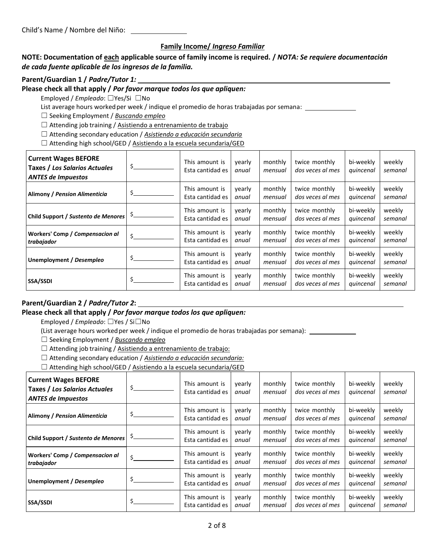### **Family Income/** *Ingreso Familiar*

### **NOTE: Documentation of each applicable source of family income is required. /** *NOTA: Se requiere documentación de cada fuente aplicable de los ingresos de la familia.*

### **Parent/Guardian 1 /** *Padre/Tutor 1:*

### **Please check all that apply /** *Por favor marque todos los que apliquen:*

Employed / *Empleado*: ☐Yes/Si ☐No

List average hours worked per week / indique el promedio de horas trabajadas por semana: \_\_\_\_\_\_\_\_\_\_\_\_\_\_\_\_\_\_\_\_\_

☐ Seeking Employment / *Buscando empleo*

 $\Box$  Attending job training / Asistiendo a entrenamiento de trabajo

☐ Attending secondary education / *Asistiendo a educación secundaria*

□ Attending high school/GED / Asistiendo a la escuela secundaria/GED

| <b>Current Wages BEFORE</b><br>Taxes / Los Salarios Actuales<br><b>ANTES de Impuestos</b> | \$ | This amount is<br>Esta cantidad es | yearly<br>anual | monthly<br>mensual | twice monthly<br>dos veces al mes | bi-weekly<br>quincenal | weekly<br>semanal |
|-------------------------------------------------------------------------------------------|----|------------------------------------|-----------------|--------------------|-----------------------------------|------------------------|-------------------|
| Alimony / Pension Alimenticia                                                             | Ś  | This amount is<br>Esta cantidad es | yearly<br>anual | monthly<br>mensual | twice monthly<br>dos veces al mes | bi-weekly<br>quincenal | weekly<br>semanal |
| Child Support / Sustento de Menores                                                       |    | This amount is<br>Esta cantidad es | vearly<br>anual | monthly<br>mensual | twice monthly<br>dos veces al mes | bi-weekly<br>quincenal | weekly<br>semanal |
| Workers' Comp / Compensacion al<br>trabajador                                             | \$ | This amount is<br>Esta cantidad es | vearly<br>anual | monthly<br>mensual | twice monthly<br>dos veces al mes | bi-weekly<br>quincenal | weekly<br>semanal |
| Unemployment / Desempleo                                                                  |    | This amount is<br>Esta cantidad es | vearly<br>anual | monthly<br>mensual | twice monthly<br>dos veces al mes | bi-weekly<br>quincenal | weekly<br>semanal |
| <b>SSA/SSDI</b>                                                                           | S  | This amount is<br>Esta cantidad es | yearly<br>anual | monthly<br>mensual | twice monthly<br>dos veces al mes | bi-weekly<br>quincenal | weekly<br>semanal |

### **Parent/Guardian 2 /** *Padre/Tutor 2***:**

### **Please check all that apply /** *Por favor marque todos los que apliquen:*

Employed / *Empleado*: ☐Yes / Si☐No

(List average hours workedper week / indique el promedio de horas trabajadas por semana):

☐ Seeking Employment / *Buscando empleo*

□ Attending job training / Asistiendo a entrenamiento de trabajo:

☐ Attending secondary education / *Asistiendo a educación secundaria:*

□ Attending high school/GED / Asistiendo a la escuela secundaria/GED

| <b>Current Wages BEFORE</b><br>Taxes / Los Salarios Actuales<br><b>ANTES de Impuestos</b> | \$  | This amount is<br>Esta cantidad es | vearly<br>anual | monthly<br>mensual | twice monthly<br>dos veces al mes | bi-weekly<br>quincenal | weekly<br>semanal |
|-------------------------------------------------------------------------------------------|-----|------------------------------------|-----------------|--------------------|-----------------------------------|------------------------|-------------------|
| Alimony / Pension Alimenticia                                                             | \$  | This amount is<br>Esta cantidad es | yearly<br>anual | monthly<br>mensual | twice monthly<br>dos veces al mes | bi-weekly<br>quincenal | weekly<br>semanal |
| Child Support / <i>Sustento de Menores</i>   <sup>\$</sup> _                              |     | This amount is<br>Esta cantidad es | yearly<br>anual | monthly<br>mensual | twice monthly<br>dos veces al mes | bi-weekly<br>quincenal | weekly<br>semanal |
| Workers' Comp / Compensacion al<br>trabajador                                             | \$  | This amount is<br>Esta cantidad es | yearly<br>anual | monthly<br>mensual | twice monthly<br>dos veces al mes | bi-weekly<br>quincenal | weekly<br>semanal |
| Unemployment / Desempleo                                                                  | \$  | This amount is<br>Esta cantidad es | yearly<br>anual | monthly<br>mensual | twice monthly<br>dos veces al mes | bi-weekly<br>quincenal | weekly<br>semanal |
| <b>SSA/SSDI</b>                                                                           | \$. | This amount is<br>Esta cantidad es | yearly<br>anual | monthly<br>mensual | twice monthly<br>dos veces al mes | bi-weekly<br>quincenal | weekly<br>semanal |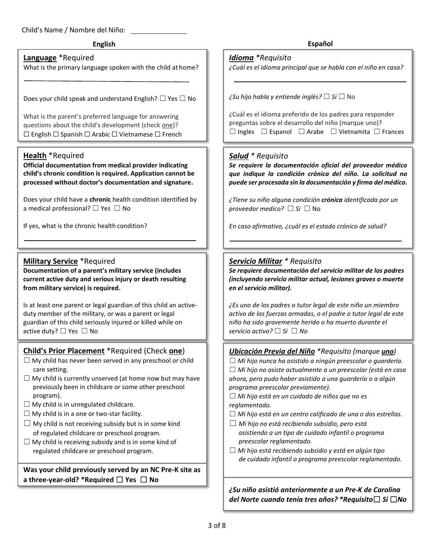### Child's Name / Nombre del Niño:

### **Language** \*Required

What is the primary language spoken with the child at home?

Does your child speak and understand English?  $\Box$  Yes  $\Box$  No

What is the parent's preferred language for answering questions about the child's development (check one)? ☐ English ☐ Spanish ☐ Arabic ☐ Vietnamese ☐ French

### **Health** \*Required

**Official documentation from medical provider indicating child's chronic condition is required. Application cannot be processed without doctor's documentation and signature.**

Does your child have a **chronic** health condition identified by a medical professional? □ Yes □ No

If yes, what is the chronic health condition?

### **Military Service** \*Required

**Documentation of a parent's military service (includes current active duty and serious injury or death resulting from military service) is required.** 

Is at least one parent or legal guardian of this child an activeduty member of the military, or was a parent or legal guardian of this child seriously injured or killed while on active duty? □ Yes □ No

### **Child's Prior Placement** \*Required (Check **one**)

- $\Box$  My child has never been served in any preschool or child care setting.
- $\Box$  My child is currently unserved (at home now but may have previously been in childcare or some other preschool program).
- $\Box$  My child is in unregulated childcare.
- $\Box$  My child is in a one or two-star facility.
- $\Box$  My child is not receiving subsidy but is in some kind of regulated childcare or preschool program.
- $\Box$  My child is receiving subsidy and is in some kind of regulated childcare or preschool program.

**Was your child previously served by an NC Pre-K site as a three-year-old? \*Required** ☐ **Yes** ☐ **No**

**English Español**

### *Idioma \*Requisito*

*¿Cuál es el idioma principal que se habla con el niño en casa?* 

*¿Su hijo habla y entiende inglés?* ☐ *Si* ☐ No

| ¿Cuál es el idioma preferido de los padres para responder |  |  |                                                                            |  |  |
|-----------------------------------------------------------|--|--|----------------------------------------------------------------------------|--|--|
|                                                           |  |  | preguntas sobre el desarrollo del niño (marque uno)?                       |  |  |
|                                                           |  |  | $\Box$ Ingles $\Box$ Espanol $\Box$ Arabe $\Box$ Vietnamita $\Box$ Frances |  |  |

### *Salud \* Requisito*

*Se requiere la documentación oficial del proveedor médico que indique la condición crónica del niño. La solicitud no puede ser procesada sin la documentación y firma del médico.*

*¿Tiene su niño alguna condición crónica identificada por un proveedor medico?* ☐ *Si* ☐ No

*En caso afirmativo, ¿cuál es el estado crónico de salud?*

### *Servicio Militar \* Requisito*

*Se requiere documentación del servicio militar de los padres (incluyendo servicio militar actual, lesiones graves o muerte en el servicio militar).* 

*¿Es uno de los padres o tutor legal de este niño un miembro activo de las fuerzas armadas, o el padre o tutor legal de este niño ha sido gravemente herido o ha muerto durante el servicio activo?* ☐ *Si* ☐ *No*

### *Ubicación Previa del Niño \*Requisito (marque uno)*

☐ *Mi hijo nunca ha asistido a ningún preescolar o guardería.* ☐ *Mi hijo no asiste actualmente a un preescolar (está en casa ahora, pero pudo haber asistido a una guardería o a algún programa preescolar previamente).*

☐ *Mi hijo está en un cuidado de niños que no es reglamentado.*

☐ *Mi hijo está en un centro calificado de una o dos estrellas.*

- ☐ *Mi hijo no está recibiendo subsidio, pero está asistiendo a un tipo de cuidado infantil o programa preescolar reglamentado.*
- ☐ *Mi hijo está recibiendo subsidio y está en algún tipo de cuidado infantil o programa preescolar reglamentado.*

*¿Su niño asistió anteriormente a un Pre-K de Carolina del Norte cuando tenía tres años? \*Requisito*☐ *Si* ☐*No*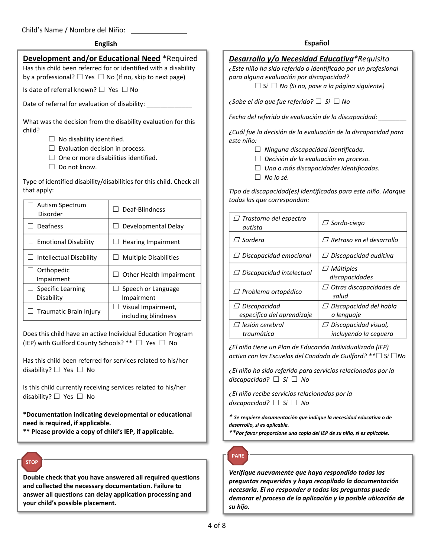Child's Name / Nombre del Niño:

### **Development and/or Educational Need** \*Required

Has this child been referred for or identified with a disability by a professional?  $\Box$  Yes  $\Box$  No (If no, skip to next page)

Is date of referral known? ☐ Yes ☐ No

Date of referral for evaluation of disability:

What was the decision from the disability evaluation for this child?

- $\Box$  No disability identified.
- $\Box$  Evaluation decision in process.
- $\Box$  One or more disabilities identified.
- ☐ Do not know.

Type of identified disability/disabilities for this child. Check all that apply:

| <b>Autism Spectrum</b><br>Disorder | Deaf-Blindness                            |
|------------------------------------|-------------------------------------------|
| Deafness                           | Developmental Delay                       |
| <b>Emotional Disability</b>        | <b>Hearing Impairment</b>                 |
| Intellectual Disability            | <b>Multiple Disabilities</b>              |
| $\Box$ Orthopedic<br>Impairment    | Other Health Impairment                   |
| Specific Learning<br>Disability    | Speech or Language<br>Impairment          |
| Traumatic Brain Injury             | Visual Impairment,<br>including blindness |

Does this child have an active Individual Education Program (IEP) with Guilford County Schools? \*\* ☐ Yes ☐ No

Has this child been referred for services related to his/her disability? ☐ Yes ☐ No

Is this child currently receiving services related to his/her disability? ☐ Yes ☐ No

**\*Documentation indicating developmental or educational need is required, if applicable.**

**\*\* Please provide a copy of child's IEP, if applicable.**

## **STOP**

**Double check that you have answered all required questions and collected the necessary documentation. Failure to answer all questions can delay application processing and your child's possible placement.** 

### **English Español**

### *Desarrollo y/o Necesidad Educativa\*Requisito*

*¿Este niño ha sido referido o identificado por un profesional para alguna evaluación por discapacidad?*

☐ *Si* ☐ *No (Si no, pase a la página siguiente)*

*¿Sabe el día que fue referido?* ☐ *Si* ☐ *No*

*Fecha del referido de evaluación de la discapacidad: \_\_\_\_\_\_\_\_*

*¿Cuál fue la decisión de la evaluación de la discapacidad para este niño:*

- ☐ *Ninguna discapacidad identificada.*
- ☐ *Decisión de la evaluación en proceso.*
- ☐ *Una o más discapacidades identificadas.*
- ☐ *No lo sé.*

*Tipo de discapacidad(es) identificadas para este niño. Marque todas las que correspondan:*

| $\Box$ Trastorno del espectro<br>autista          | $\Box$ Sordo-ciego                             |
|---------------------------------------------------|------------------------------------------------|
| $\varPi$ Sordera                                  | Retraso en el desarrollo<br>$\prime$ /         |
| $\Box$ Discapacidad emocional                     | $\varPi$ Discapacidad auditiva                 |
| $\Box$ Discapacidad intelectual                   | $\Box$ Múltiples<br>discapacidades             |
| $\Box$ Problema ortopédico                        | Otras discapacidades de<br>$\prime$ /<br>salud |
| $\Box$ Discapacidad<br>especifica del aprendizaje | $\Box$ Discapacidad del habla<br>o lenguaje    |
| $\varPi$ lesión cerebral<br>traumática            | Discapacidad visual,<br>incluyendo la ceguera  |

*¿El niño tiene un Plan de Educación Individualizada (IEP) activo con las Escuelas del Condado de Guilford? \*\**☐ S*i* ☐*No*

*¿El niño ha sido referido para servicios relacionados por la discapacidad?* ☐ *Si* ☐ *No*

*¿El niño recibe servicios relacionados por la discapacidad?* ☐ *Si* ☐ *No*

*\* Se requiere documentación que indique la necesidad educativa o de desarrollo, si es aplicable.*

*\*\*Por favor proporcione una copia del IEP de su niño, si es aplicable.*

# **PARE**

*Verifique nuevamente que haya respondido todas las preguntas requeridas y haya recopilado la documentación necesaria. El no responder a todas las preguntas puede demorar el proceso de la aplicación y la posible ubicación de su hijo.*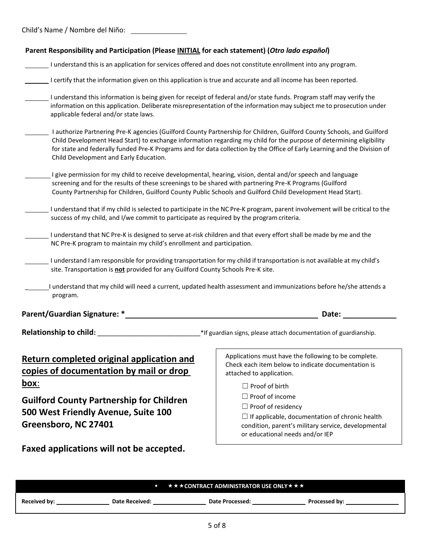Child's Name / Nombre del Niño:

| Parent Responsibility and Participation (Please INITIAL for each statement) (Otro lado español)                                                                                                                                                                                                                                       |                                                                                                                                                                                                                                                                                                                                                                            |  |  |
|---------------------------------------------------------------------------------------------------------------------------------------------------------------------------------------------------------------------------------------------------------------------------------------------------------------------------------------|----------------------------------------------------------------------------------------------------------------------------------------------------------------------------------------------------------------------------------------------------------------------------------------------------------------------------------------------------------------------------|--|--|
| I understand this is an application for services offered and does not constitute enrollment into any program.                                                                                                                                                                                                                         |                                                                                                                                                                                                                                                                                                                                                                            |  |  |
| I certify that the information given on this application is true and accurate and all income has been reported.                                                                                                                                                                                                                       |                                                                                                                                                                                                                                                                                                                                                                            |  |  |
| I understand this information is being given for receipt of federal and/or state funds. Program staff may verify the<br>applicable federal and/or state laws.                                                                                                                                                                         | information on this application. Deliberate misrepresentation of the information may subject me to prosecution under                                                                                                                                                                                                                                                       |  |  |
| Child Development and Early Education.                                                                                                                                                                                                                                                                                                | I authorize Partnering Pre-K agencies (Guilford County Partnership for Children, Guilford County Schools, and Guilford<br>Child Development Head Start) to exchange information regarding my child for the purpose of determining eligibility<br>for state and federally funded Pre-K Programs and for data collection by the Office of Early Learning and the Division of |  |  |
| I give permission for my child to receive developmental, hearing, vision, dental and/or speech and language<br>screening and for the results of these screenings to be shared with partnering Pre-K Programs (Guilford<br>County Partnership for Children, Guilford County Public Schools and Guilford Child Development Head Start). |                                                                                                                                                                                                                                                                                                                                                                            |  |  |
| success of my child, and I/we commit to participate as required by the program criteria.                                                                                                                                                                                                                                              | I understand that if my child is selected to participate in the NC Pre-K program, parent involvement will be critical to the                                                                                                                                                                                                                                               |  |  |
| I understand that NC Pre-K is designed to serve at-risk children and that every effort shall be made by me and the<br>NC Pre-K program to maintain my child's enrollment and participation.                                                                                                                                           |                                                                                                                                                                                                                                                                                                                                                                            |  |  |
| site. Transportation is not provided for any Guilford County Schools Pre-K site.                                                                                                                                                                                                                                                      | I understand I am responsible for providing transportation for my child if transportation is not available at my child's                                                                                                                                                                                                                                                   |  |  |
| program.                                                                                                                                                                                                                                                                                                                              | I understand that my child will need a current, updated health assessment and immunizations before he/she attends a                                                                                                                                                                                                                                                        |  |  |
| <b>Parent/Guardian Signature: *</b>                                                                                                                                                                                                                                                                                                   | Date:                                                                                                                                                                                                                                                                                                                                                                      |  |  |
| <b>Relationship to child:</b>                                                                                                                                                                                                                                                                                                         | *If guardian signs, please attach documentation of guardianship.                                                                                                                                                                                                                                                                                                           |  |  |
| Applications must have the following to be complete.<br>Return completed original application and<br>Check each item below to indicate documentation is<br>copies of documentation by mail or drop<br>attached to application.                                                                                                        |                                                                                                                                                                                                                                                                                                                                                                            |  |  |
| <u>box:</u><br><b>Guilford County Partnership for Children</b><br>500 West Friendly Avenue, Suite 100<br>Greensboro, NC 27401                                                                                                                                                                                                         | $\Box$ Proof of birth<br>$\Box$ Proof of income<br>$\Box$ Proof of residency<br>$\Box$ If applicable, documentation of chronic health<br>condition, parent's military service, developmental<br>or educational needs and/or IEP                                                                                                                                            |  |  |
| Faxed applications will not be accepted.                                                                                                                                                                                                                                                                                              |                                                                                                                                                                                                                                                                                                                                                                            |  |  |

|                     | <b>Contract Contract</b> | <b>★★★CONTRACT ADMINISTRATOR USE ONLY★★★</b> |               |
|---------------------|--------------------------|----------------------------------------------|---------------|
| <b>Received by:</b> | <b>Date Received:</b>    | <b>Date Processed:</b>                       | Processed by: |
|                     |                          |                                              |               |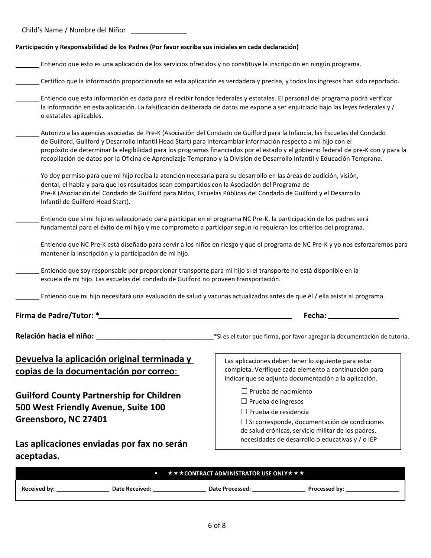| Child's Name / Nombre del Niño: |  |  |  |
|---------------------------------|--|--|--|
|---------------------------------|--|--|--|

### **Participación y Responsabilidad de los Padres (Por favor escriba sus iniciales en cada declaración)**

- Entiendo que esto es una aplicación de los servicios ofrecidos y no constituye la inscripción en ningún programa.
- Certifico que la información proporcionada en esta aplicación es verdadera y precisa, y todos los ingresos han sido reportado.
- Entiendo que esta información es dada para el recibir fondos federales y estatales. El personal del programa podrá verificar la información en esta aplicación. La falsificación deliberada de datos me expone a ser enjuiciado bajo las leyes federales y / o estatales aplicables.
- Autorizo a las agencias asociadas de Pre-K (Asociación del Condado de Guilford para la Infancia, las Escuelas del Condado de Guilford, Guilford y Desarrollo Infantil Head Start) para intercambiar información respecto a mi hijo con el propósito de determinar la elegibilidad para los programas financiados por el estado y el gobierno federal de pre-K con y para la recopilación de datos por la Oficina de Aprendizaje Temprano y la División de Desarrollo Infantil y Educación Temprana.
- Yo doy permiso para que mi hijo reciba la atención necesaria para su desarrollo en las áreas de audición, visión, dental, el habla y para que los resultados sean compartidos con la Asociación del Programa de Pre-K (Asociación del Condado de Guilford para Niños, Escuelas Públicas del Condado de Guilford y el Desarrollo Infantil de Guilford Head Start).
- Entiendo que si mi hijo es seleccionado para participar en el programa NC Pre-K, la participación de los padres será fundamental para el éxito de mi hijo y me comprometo a participar según lo requieran los criterios del programa.
- Entiendo que NC Pre-K está diseñado para servir a los niños en riesgo y que el programa de NC Pre-K y yo nos esforzaremos para mantener la Inscripción y la participación de mi hijo.
- Entiendo que soy responsable por proporcionar transporte para mi hijo si el transporte no está disponible en la escuela de mi hijo. Las escuelas del condado de Guilford no proveen transportación.
- Entiendo que mi hijo necesitará una evaluación de salud y vacunas actualizados antes de que él / ella asista al programa.

**Firma de Padre/Tutor: \* Fecha:** 

**Relación hacia el niño:** \_\_\_\_\_\_\_\_\_\_\_\_\_\_\_\_\_\_\_\_\_\_\_\_\_\_\_\_\*Si es el tutor que firma, por favor agregar la documentación de tutoría.

### **Devuelva la aplicación original terminada y copias de la documentación por correo**:

**Guilford County Partnership for Children 500 West Friendly Avenue, Suite 100 Greensboro, NC 27401** 

completa. Verifique cada elemento a continuación para indicar que se adjunta documentación a la aplicación. ☐ Prueba de nacimiento

Las aplicaciones deben tener lo siguiente para estar

- ☐ Prueba de ingresos
- ☐ Prueba de residencia

☐ Si corresponde, documentación de condiciones de salud crónicas, servicio militar de los padres, necesidades de desarrollo o educativas y / o IEP

**Las aplicaciones enviadas por fax no serán aceptadas.** 

|              |                | ■ $\star \star \star$ CONTRACT ADMINISTRATOR USE ONLY $\star \star \star$ |                      |  |  |  |
|--------------|----------------|---------------------------------------------------------------------------|----------------------|--|--|--|
| Received by: | Date Received: | Date Processed:                                                           | <b>Processed by:</b> |  |  |  |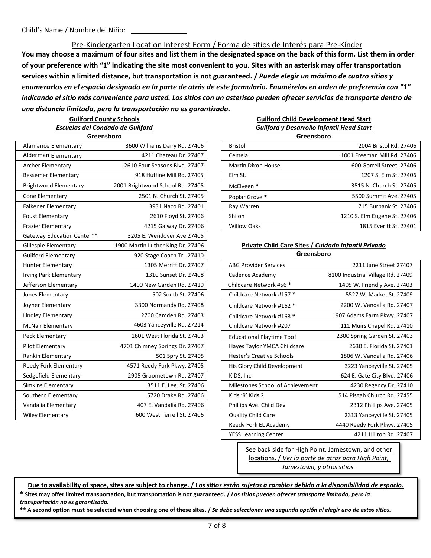Pre-Kindergarten Location Interest Form / Forma de sitios de Interés para Pre-Kínder **You may choose a maximum of four sites and list them in the designated space on the back of this form. List them in order of your preference with "1" indicating the site most convenient to you. Sites with an asterisk may offer transportation services within a limited distance, but transportation is not guaranteed. /** *Puede elegir un máximo de cuatro sitios y enumerarlos en el espacio designado en la parte de atrás de este formulario. Enumérelos en orden de preferencia con "1" indicando el sitio más conveniente para usted. Los sitios con un asterisco pueden ofrecer servicios de transporte dentro de una distancia limitada, pero la transportación no es garantizada.*

### **Guilford County Schools** *Escuelas del Condado de Guilford* **Greensboro**

**Guilford Child Development Head Start** *Guilford y Desarrollo Infantil Head Start* **Greensboro**

| Alamance Elementary           | 3600 Williams Dairy Rd. 27406     | <b>Bristol</b>                                      | 2004 Bristol Rd. 2740             |
|-------------------------------|-----------------------------------|-----------------------------------------------------|-----------------------------------|
| Alderman Elementary           | 4211 Chateau Dr. 27407            | Cemela                                              | 1001 Freeman Mill Rd. 2740        |
| <b>Archer Elementary</b>      | 2610 Four Seasons Blvd. 27407     | <b>Martin Dixon House</b>                           | 600 Gorrell Street. 2740          |
| <b>Bessemer Elementary</b>    | 918 Huffine Mill Rd. 27405        | Elm St.                                             | 1207 S. Elm St. 2740              |
| <b>Brightwood Elementary</b>  | 2001 Brightwood School Rd. 27405  | McElveen *                                          | 3515 N. Church St. 2740           |
| Cone Elementary               | 2501 N. Church St. 27405          | Poplar Grove *                                      | 5500 Summit Ave. 2740             |
| <b>Falkener Elementary</b>    | 3931 Naco Rd. 27401               | Ray Warren                                          | 715 Burbank St. 2740              |
| <b>Foust Elementary</b>       | 2610 Floyd St. 27406              | Shiloh                                              | 1210 S. Elm Eugene St. 2740       |
| <b>Frazier Elementary</b>     | 4215 Galway Dr. 27406             | <b>Willow Oaks</b>                                  | 1815 Everitt St. 2740             |
| Gateway Education Center**    | 3205 E. Wendover Ave.27405        |                                                     |                                   |
| <b>Gillespie Elementary</b>   | 1900 Martin Luther King Dr. 27406 | Private Child Care Sites / Cuidado Infantil Privado |                                   |
| <b>Guilford Elementary</b>    | 920 Stage Coach Trl. 27410        | Greensboro                                          |                                   |
| <b>Hunter Elementary</b>      | 1305 Merritt Dr. 27407            | <b>ABG Provider Services</b>                        | 2211 Jane Street 27407            |
| <b>Irving Park Elementary</b> | 1310 Sunset Dr. 27408             | Cadence Academy                                     | 8100 Industrial Village Rd. 27409 |
| Jefferson Elementary          | 1400 New Garden Rd. 27410         | Childcare Network #56 *                             | 1405 W. Friendly Ave. 27403       |
| Jones Elementary              | 502 South St. 27406               | Childcare Network #157 *                            | 5527 W. Market St. 27409          |
| Joyner Elementary             | 3300 Normandy Rd. 27408           | Childcare Network #162 *                            | 2200 W. Vandalia Rd. 27407        |
| <b>Lindley Elementary</b>     | 2700 Camden Rd. 27403             | Childcare Network #163 *                            | 1907 Adams Farm Pkwy. 27407       |
| <b>McNair Elementary</b>      | 4603 Yanceyville Rd. 27214        | Childcare Network #207                              | 111 Muirs Chapel Rd. 27410        |
| Peck Elementary               | 1601 West Florida St. 27403       | <b>Educational Playtime Too!</b>                    | 2300 Spring Garden St. 27403      |
| <b>Pilot Elementary</b>       | 4701 Chimney Springs Dr. 27407    | Hayes Taylor YMCA Childcare                         | 2630 E. Florida St. 27401         |
| Rankin Elementary             | 501 Spry St. 27405                | <b>Hester's Creative Schools</b>                    | 1806 W. Vandalia Rd. 27406        |
| Reedy Fork Elementary         | 4571 Reedy Fork Pkwy. 27405       | His Glory Child Development                         | 3223 Yanceyville St. 27405        |
| Sedgefield Elementary         | 2905 Groometown Rd. 27407         | KIDS, Inc.                                          | 624 E. Gate City Blvd. 27406      |
| Simkins Elementary            | 3511 E. Lee. St. 27406            | Milestones School of Achievement                    | 4230 Regency Dr. 27410            |
| Southern Elementary           | 5720 Drake Rd. 27406              | Kids 'R' Kids 2                                     | 514 Pisgah Church Rd. 27455       |
| Vandalia Elementary           | 407 E. Vandalia Rd. 27406         | Phillips Ave. Child Dev                             | 2312 Phillips Ave. 27405          |
| <b>Wiley Elementary</b>       | 600 West Terrell St. 27406        | <b>Quality Child Care</b>                           | 2313 Yanceyville St. 27405        |

# Gillespie Elementary 1900 Martin Luther King Dr. 27406 **Private Child Care Sites /** *Cuidado Infantil Privado*

| <b>Hunter Elementary</b> | 1305 Merritt Dr. 27407         | <b>ABG Provider Services</b>     | 2211 Jane Street 27407            |
|--------------------------|--------------------------------|----------------------------------|-----------------------------------|
| Irving Park Elementary   | 1310 Sunset Dr. 27408          | Cadence Academy                  | 8100 Industrial Village Rd. 27409 |
| Jefferson Elementary     | 1400 New Garden Rd. 27410      | Childcare Network #56 *          | 1405 W. Friendly Ave. 27403       |
| Jones Elementary         | 502 South St. 27406            | Childcare Network #157 *         | 5527 W. Market St. 27409          |
| Joyner Elementary        | 3300 Normandy Rd. 27408        | Childcare Network #162 *         | 2200 W. Vandalia Rd. 27407        |
| Lindley Elementary       | 2700 Camden Rd. 27403          | Childcare Network #163 *         | 1907 Adams Farm Pkwy. 27407       |
| McNair Elementary        | 4603 Yanceyville Rd. 27214     | Childcare Network #207           | 111 Muirs Chapel Rd. 27410        |
| Peck Elementary          | 1601 West Florida St. 27403    | <b>Educational Playtime Too!</b> | 2300 Spring Garden St. 27403      |
| Pilot Elementary         | 4701 Chimney Springs Dr. 27407 | Hayes Taylor YMCA Childcare      | 2630 E. Florida St. 27401         |
| Rankin Elementary        | 501 Spry St. 27405             | Hester's Creative Schools        | 1806 W. Vandalia Rd. 27406        |
| Reedy Fork Elementary    | 4571 Reedy Fork Pkwy. 27405    | His Glory Child Development      | 3223 Yanceyville St. 27405        |
| Sedgefield Elementary    | 2905 Groometown Rd. 27407      | KIDS, Inc.                       | 624 E. Gate City Blvd. 27406      |
| Simkins Elementary       | 3511 E. Lee. St. 27406         | Milestones School of Achievement | 4230 Regency Dr. 27410            |
| Southern Elementary      | 5720 Drake Rd. 27406           | Kids 'R' Kids 2                  | 514 Pisgah Church Rd. 27455       |
| Vandalia Elementary      | 407 E. Vandalia Rd. 27406      | Phillips Ave. Child Dev          | 2312 Phillips Ave. 27405          |
| Wiley Elementary         | 600 West Terrell St. 27406     | <b>Quality Child Care</b>        | 2313 Yanceyville St. 27405        |
|                          |                                | Reedy Fork EL Academy            | 4440 Reedy Fork Pkwy. 27405       |
|                          |                                | <b>YESS Learning Center</b>      | 4211 Hilltop Rd. 27407            |

See back side for High Point, Jamestown, and other locations. / *Ver la parte de atras para High Point, Jamestown, y otros sitios.*

**Due to availability of space, sites are subject to change. / L***os sitios están sujetos a cambios debido a la disponibilidad de espacio.* **\* Sites may offer limited transportation, but transportation is not guaranteed. /** *Los sitios pueden ofrecer transporte limitado, pero la* 

*transportación no es garantizada.*

**\*\* A second option must be selected when choosing one of these sites. /** *Se debe seleccionar una segunda opción al elegir uno de estos sitios.*